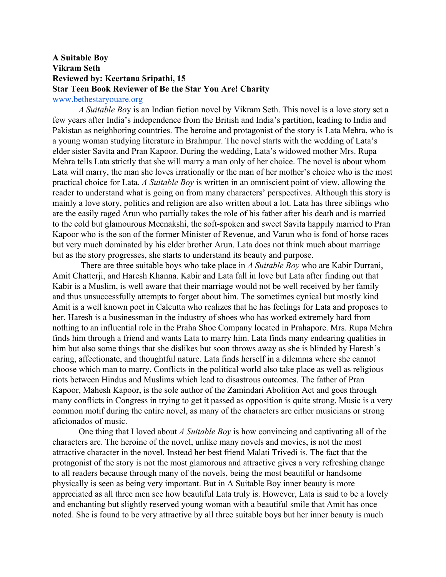## **A Suitable Boy Vikram Seth Reviewed by: Keertana Sripathi, 15 Star Teen Book Reviewer of Be the Star You Are! Charity** [www.bethestaryouare.org](http://www.bethestaryouare.org/)

*A Suitable Bo*y is an Indian fiction novel by Vikram Seth. This novel is a love story set a few years after India's independence from the British and India's partition, leading to India and Pakistan as neighboring countries. The heroine and protagonist of the story is Lata Mehra, who is a young woman studying literature in Brahmpur. The novel starts with the wedding of Lata's elder sister Savita and Pran Kapoor. During the wedding, Lata's widowed mother Mrs. Rupa Mehra tells Lata strictly that she will marry a man only of her choice. The novel is about whom Lata will marry, the man she loves irrationally or the man of her mother's choice who is the most practical choice for Lata. *A Suitable Boy* is written in an omniscient point of view, allowing the reader to understand what is going on from many characters' perspectives. Although this story is mainly a love story, politics and religion are also written about a lot. Lata has three siblings who are the easily raged Arun who partially takes the role of his father after his death and is married to the cold but glamourous Meenakshi, the soft-spoken and sweet Savita happily married to Pran Kapoor who is the son of the former Minister of Revenue, and Varun who is fond of horse races but very much dominated by his elder brother Arun. Lata does not think much about marriage but as the story progresses, she starts to understand its beauty and purpose.

 There are three suitable boys who take place in *A Suitable Boy* who are Kabir Durrani, Amit Chatterji, and Haresh Khanna. Kabir and Lata fall in love but Lata after finding out that Kabir is a Muslim, is well aware that their marriage would not be well received by her family and thus unsuccessfully attempts to forget about him. The sometimes cynical but mostly kind Amit is a well known poet in Calcutta who realizes that he has feelings for Lata and proposes to her. Haresh is a businessman in the industry of shoes who has worked extremely hard from nothing to an influential role in the Praha Shoe Company located in Prahapore. Mrs. Rupa Mehra finds him through a friend and wants Lata to marry him. Lata finds many endearing qualities in him but also some things that she dislikes but soon throws away as she is blinded by Haresh's caring, affectionate, and thoughtful nature. Lata finds herself in a dilemma where she cannot choose which man to marry. Conflicts in the political world also take place as well as religious riots between Hindus and Muslims which lead to disastrous outcomes. The father of Pran Kapoor, Mahesh Kapoor, is the sole author of the Zamindari Abolition Act and goes through many conflicts in Congress in trying to get it passed as opposition is quite strong. Music is a very common motif during the entire novel, as many of the characters are either musicians or strong aficionados of music.

One thing that I loved about *A Suitable Boy* is how convincing and captivating all of the characters are. The heroine of the novel, unlike many novels and movies, is not the most attractive character in the novel. Instead her best friend Malati Trivedi is. The fact that the protagonist of the story is not the most glamorous and attractive gives a very refreshing change to all readers because through many of the novels, being the most beautiful or handsome physically is seen as being very important. But in A Suitable Boy inner beauty is more appreciated as all three men see how beautiful Lata truly is. However, Lata is said to be a lovely and enchanting but slightly reserved young woman with a beautiful smile that Amit has once noted. She is found to be very attractive by all three suitable boys but her inner beauty is much